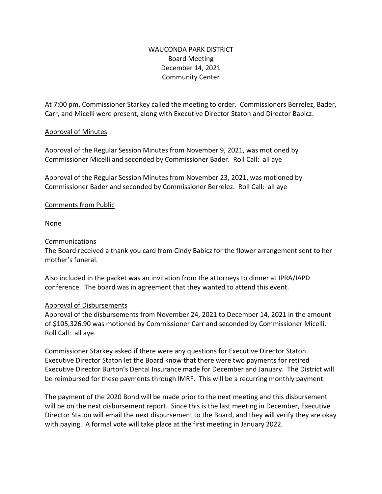# WAUCONDA PARK DISTRICT Board Meeting December 14, 2021 Community Center

At 7:00 pm, Commissioner Starkey called the meeting to order. Commissioners Berrelez, Bader, Carr, and Micelli were present, along with Executive Director Staton and Director Babicz.

### Approval of Minutes

Approval of the Regular Session Minutes from November 9, 2021, was motioned by Commissioner Micelli and seconded by Commissioner Bader. Roll Call: all aye

Approval of the Regular Session Minutes from November 23, 2021, was motioned by Commissioner Bader and seconded by Commissioner Berrelez. Roll Call: all aye

### Comments from Public

None

### Communications

The Board received a thank you card from Cindy Babicz for the flower arrangement sent to her mother's funeral.

Also included in the packet was an invitation from the attorneys to dinner at IPRA/IAPD conference. The board was in agreement that they wanted to attend this event.

## Approval of Disbursements

Approval of the disbursements from November 24, 2021 to December 14, 2021 in the amount of \$105,326.90 was motioned by Commissioner Carr and seconded by Commissioner Micelli. Roll Call: all aye.

Commissioner Starkey asked if there were any questions for Executive Director Staton. Executive Director Staton let the Board know that there were two payments for retired Executive Director Burton's Dental Insurance made for December and January. The District will be reimbursed for these payments through IMRF. This will be a recurring monthly payment.

The payment of the 2020 Bond will be made prior to the next meeting and this disbursement will be on the next disbursement report. Since this is the last meeting in December, Executive Director Staton will email the next disbursement to the Board, and they will verify they are okay with paying. A formal vote will take place at the first meeting in January 2022.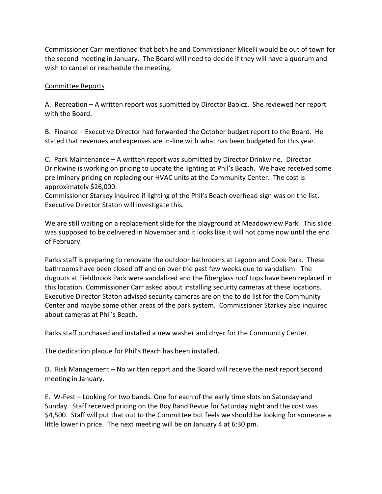Commissioner Carr mentioned that both he and Commissioner Micelli would be out of town for the second meeting in January. The Board will need to decide if they will have a quorum and wish to cancel or reschedule the meeting.

### Committee Reports

A. Recreation – A written report was submitted by Director Babicz. She reviewed her report with the Board.

B. Finance – Executive Director had forwarded the October budget report to the Board. He stated that revenues and expenses are in-line with what has been budgeted for this year.

C. Park Maintenance – A written report was submitted by Director Drinkwine. Director Drinkwine is working on pricing to update the lighting at Phil's Beach. We have received some preliminary pricing on replacing our HVAC units at the Community Center. The cost is approximately \$26,000.

Commissioner Starkey inquired if lighting of the Phil's Beach overhead sign was on the list. Executive Director Staton will investigate this.

We are still waiting on a replacement slide for the playground at Meadowview Park. This slide was supposed to be delivered in November and it looks like it will not come now until the end of February.

Parks staff is preparing to renovate the outdoor bathrooms at Lagoon and Cook Park. These bathrooms have been closed off and on over the past few weeks due to vandalism. The dugouts at Fieldbrook Park were vandalized and the fiberglass roof tops have been replaced in this location. Commissioner Carr asked about installing security cameras at these locations. Executive Director Staton advised security cameras are on the to do list for the Community Center and maybe some other areas of the park system. Commissioner Starkey also inquired about cameras at Phil's Beach.

Parks staff purchased and installed a new washer and dryer for the Community Center.

The dedication plaque for Phil's Beach has been installed.

D. Risk Management – No written report and the Board will receive the next report second meeting in January.

E. W-Fest – Looking for two bands. One for each of the early time slots on Saturday and Sunday. Staff received pricing on the Boy Band Revue for Saturday night and the cost was \$4,500. Staff will put that out to the Committee but feels we should be looking for someone a little lower in price. The next meeting will be on January 4 at 6:30 pm.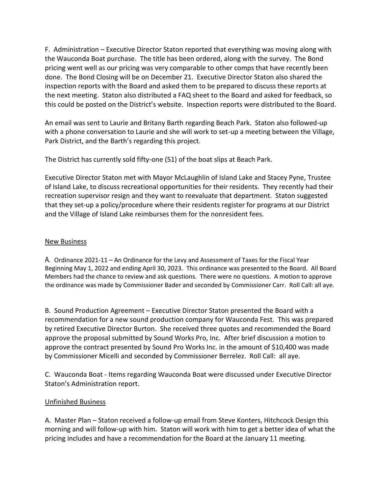F. Administration – Executive Director Staton reported that everything was moving along with the Wauconda Boat purchase. The title has been ordered, along with the survey. The Bond pricing went well as our pricing was very comparable to other comps that have recently been done. The Bond Closing will be on December 21. Executive Director Staton also shared the inspection reports with the Board and asked them to be prepared to discuss these reports at the next meeting. Staton also distributed a FAQ sheet to the Board and asked for feedback, so this could be posted on the District's website. Inspection reports were distributed to the Board.

An email was sent to Laurie and Britany Barth regarding Beach Park. Staton also followed-up with a phone conversation to Laurie and she will work to set-up a meeting between the Village, Park District, and the Barth's regarding this project.

The District has currently sold fifty-one (51) of the boat slips at Beach Park.

Executive Director Staton met with Mayor McLaughlin of Island Lake and Stacey Pyne, Trustee of Island Lake, to discuss recreational opportunities for their residents. They recently had their recreation supervisor resign and they want to reevaluate that department. Staton suggested that they set-up a policy/procedure where their residents register for programs at our District and the Village of Island Lake reimburses them for the nonresident fees.

#### New Business

A. Ordinance 2021-11 – An Ordinance for the Levy and Assessment of Taxes for the Fiscal Year Beginning May 1, 2022 and ending April 30, 2023. This ordinance was presented to the Board. All Board Members had the chance to review and ask questions. There were no questions. A motion to approve the ordinance was made by Commissioner Bader and seconded by Commissioner Carr. Roll Call: all aye.

B. Sound Production Agreement – Executive Director Staton presented the Board with a recommendation for a new sound production company for Wauconda Fest. This was prepared by retired Executive Director Burton. She received three quotes and recommended the Board approve the proposal submitted by Sound Works Pro, Inc. After brief discussion a motion to approve the contract presented by Sound Pro Works Inc. in the amount of \$10,400 was made by Commissioner Micelli and seconded by Commissioner Berrelez. Roll Call: all aye.

C. Wauconda Boat - Items regarding Wauconda Boat were discussed under Executive Director Staton's Administration report.

#### Unfinished Business

A. Master Plan – Staton received a follow-up email from Steve Konters, Hitchcock Design this morning and will follow-up with him. Staton will work with him to get a better idea of what the pricing includes and have a recommendation for the Board at the January 11 meeting.